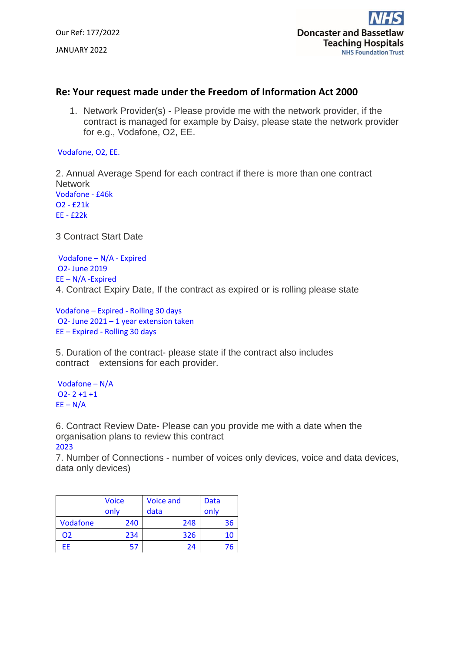Our Ref: 177/2022 JANUARY 2022

## **Re: Your request made under the Freedom of Information Act 2000**

1. Network Provider(s) - Please provide me with the network provider, if the contract is managed for example by Daisy, please state the network provider for e.g., Vodafone, O2, EE.

Vodafone, O2, EE.

2. Annual Average Spend for each contract if there is more than one contract **Network** Vodafone - £46k O2 - £21k EE - £22k

3 Contract Start Date

Vodafone – N/A - Expired O2- June 2019 EE – N/A -Expired 4. Contract Expiry Date, If the contract as expired or is rolling please state

Vodafone – Expired - Rolling 30 days O2- June 2021 – 1 year extension taken EE – Expired - Rolling 30 days

5. Duration of the contract- please state if the contract also includes contract extensions for each provider.

Vodafone – N/A  $O2 - 2 + 1 + 1$  $EE - N/A$ 

6. Contract Review Date- Please can you provide me with a date when the organisation plans to review this contract 2023

7. Number of Connections - number of voices only devices, voice and data devices, data only devices)

|          | <b>Voice</b> | <b>Voice and</b> | Data |
|----------|--------------|------------------|------|
|          | only         | data             | only |
| Vodafone | 240          | 248              | 36   |
| 02       | 234          | 326              | 10   |
| FF       | 57           | 24               |      |